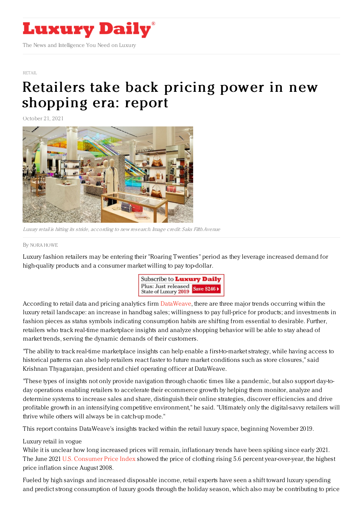

## [RETAIL](https://www.luxurydaily.com/category/sectors/retail-industry-sectors/)

## Retailers take back pricing power in new [shopping](https://www.luxurydaily.com/luxury-retail-pricing-dataweave/) era: report

October 21, 2021



Luxury retail is hitting its stride, according to new research. Image credit: Saks Fifth Avenue

## By NORA [HOWE](file:///author/nora-howe)

Luxury fashion retailers may be entering their "Roaring Twenties" period as they leverage increased demand for high-quality products and a consumer market willing to pay top-dollar.



According to retail data and pricing analytics firm [DataWeave](https://dataweave.com/), there are three major trends occurring within the luxury retail landscape: an increase in handbag sales; willingness to pay full-price for products; and investments in fashion pieces as status symbols indicating consumption habits are shifting from essential to desirable. Further, retailers who track real-time marketplace insights and analyze shopping behavior will be able to stay ahead of market trends, serving the dynamic demands of their customers.

"The ability to track real-time marketplace insights can help enable a first-to-market strategy, while having access to historical patterns can also help retailers react faster to future market conditions such as store closures," said Krishnan Thyagarajan, president and chief operating officer at DataWeave.

"These types of insights not only provide navigation through chaotic times like a pandemic, but also support day-today operations enabling retailers to accelerate their ecommerce growth by helping them monitor, analyze and determine systems to increase sales and share, distinguish their online strategies, discover efficiencies and drive profitable growth in an intensifying competitive environment," he said. "Ultimately only the digital-savvy retailers will thrive while others will always be in catch-up mode."

This report contains DataWeave's insights tracked within the retail luxury space, beginning November 2019.

## Luxury retail in vogue

While it is unclear how long increased prices will remain, inflationary trends have been spiking since early 2021. The June 2021 U.S. [Consumer](https://www.bls.gov/cpi/) Price Index showed the price of clothing rising 5.6 percent year-over-year, the highest price inflation since August 2008.

Fueled by high savings and increased disposable income, retail experts have seen a shift toward luxury spending and predict strong consumption of luxury goods through the holiday season, which also may be contributing to price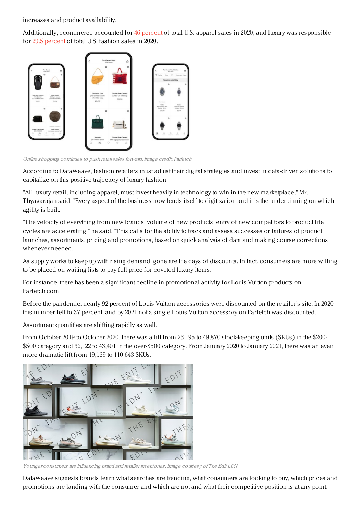increases and product availability.

Additionally, ecommerce accounted for 46 [percent](https://www.digitalcommerce360.com/article/online-apparel-sales-us/) of total U.S. apparel sales in 2020, and luxury was responsible for 29.5 [percent](https://www.statista.com/topics/3481/fashion-e-commerce-in-the-united-states/) of total U.S. fashion sales in 2020.



Online shopping continues to push retailsales forward. Image credit: Farfetch

According to DataWeave, fashion retailers must adjust their digital strategies and invest in data-driven solutions to capitalize on this positive trajectory of luxury fashion.

"All luxury retail, including apparel, must invest heavily in technology to win in the new marketplace," Mr. Thyagarajan said. "Every aspect of the business now lends itself to digitization and it is the underpinning on which agility is built.

"The velocity of everything from new brands, volume of new products, entry of new competitors to product life cycles are accelerating," he said. "This calls for the ability to track and assess successes or failures of product launches, assortments, pricing and promotions, based on quick analysis of data and making course corrections whenever needed."

As supply works to keep up with rising demand, gone are the days of discounts. In fact, consumers are more willing to be placed on waiting lists to pay full price for coveted luxury items.

For instance, there has been a significant decline in promotional activity for Louis Vuitton products on Farfetch.com.

Before the pandemic, nearly 92 percent of Louis Vuitton accessories were discounted on the retailer's site. In 2020 this number fell to 37 percent, and by 2021 not a single Louis Vuitton accessory on Farfetch was discounted.

Assortment quantities are shifting rapidly as well.

From October 2019 to October 2020, there was a lift from 23,195 to 49,870 stock-keeping units (SKUs) in the \$200- \$500 category and 32,122 to 43,401 in the over-\$500 category. From January 2020 to January 2021, there was an even more dramatic lift from 19,169 to 110,643 SKUs.



Younger consumers are influencing brand and retailer inventories. Image courtesy of The Edit LDN

DataWeave suggests brands learn what searches are trending, what consumers are looking to buy, which prices and promotions are landing with the consumer and which are not and what their competitive position is at any point.